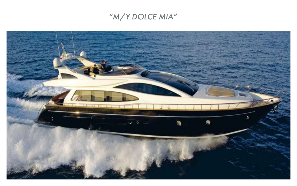# "M/Y DOLCE MIA"

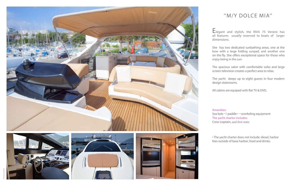Elegant and stylish, the RIVA 75 Venere has all features usually reserved to boats of larger dime nsions.

S he has tw o dedicated sunbathing areas, one at the bow wi th a large folding s unpad, and another one on the fly. She offers exceptional space for those who enjoy being in the sun.

Amenities: Sea bob · 1 paddle · · snorkeling equipment The ya c ht ch arter includes: C rew ( c aptain , a n d first mat e

The spacious salon with comfortable sofas and large screen television creates a perfect area to relax.

The yacht sleeps up to eight guests in four modern design staterooms.

All cabins are equiped with flat TV & DVD.

• The yacht charter does not include: diesel, harbor fees outside of base harbor, food and drinks.









## "M/Y DOLCE MIA"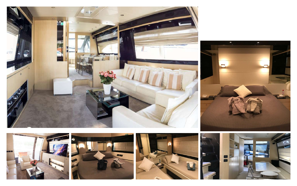